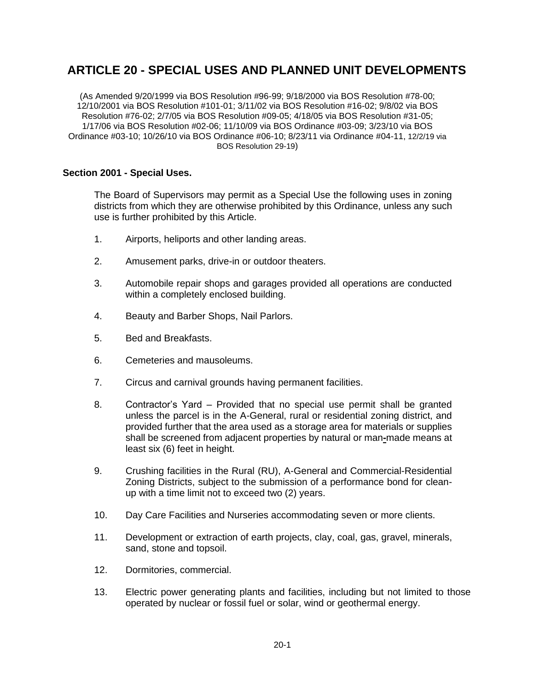# **ARTICLE 20 - SPECIAL USES AND PLANNED UNIT DEVELOPMENTS**

(As Amended 9/20/1999 via BOS Resolution #96-99; 9/18/2000 via BOS Resolution #78-00; 12/10/2001 via BOS Resolution #101-01; 3/11/02 via BOS Resolution #16-02; 9/8/02 via BOS Resolution #76-02; 2/7/05 via BOS Resolution #09-05; 4/18/05 via BOS Resolution #31-05; 1/17/06 via BOS Resolution #02-06; 11/10/09 via BOS Ordinance #03-09; 3/23/10 via BOS Ordinance #03-10; 10/26/10 via BOS Ordinance #06-10; 8/23/11 via Ordinance #04-11, 12/2/19 via BOS Resolution 29-19)

# **Section 2001 - Special Uses.**

The Board of Supervisors may permit as a Special Use the following uses in zoning districts from which they are otherwise prohibited by this Ordinance, unless any such use is further prohibited by this Article.

- 1. Airports, heliports and other landing areas.
- 2. Amusement parks, drive-in or outdoor theaters.
- 3. Automobile repair shops and garages provided all operations are conducted within a completely enclosed building.
- 4. Beauty and Barber Shops, Nail Parlors.
- 5. Bed and Breakfasts.
- 6. Cemeteries and mausoleums.
- 7. Circus and carnival grounds having permanent facilities.
- 8. Contractor's Yard Provided that no special use permit shall be granted unless the parcel is in the A-General, rural or residential zoning district, and provided further that the area used as a storage area for materials or supplies shall be screened from adjacent properties by natural or man**-**made means at least six (6) feet in height.
- 9. Crushing facilities in the Rural (RU), A-General and Commercial-Residential Zoning Districts, subject to the submission of a performance bond for cleanup with a time limit not to exceed two (2) years.
- 10. Day Care Facilities and Nurseries accommodating seven or more clients.
- 11. Development or extraction of earth projects, clay, coal, gas, gravel, minerals, sand, stone and topsoil.
- 12. Dormitories, commercial.
- 13. Electric power generating plants and facilities, including but not limited to those operated by nuclear or fossil fuel or solar, wind or geothermal energy.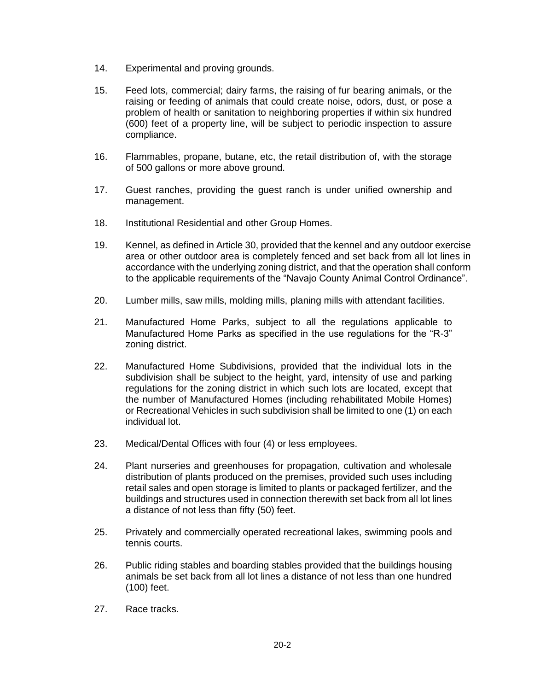- 14. Experimental and proving grounds.
- 15. Feed lots, commercial; dairy farms, the raising of fur bearing animals, or the raising or feeding of animals that could create noise, odors, dust, or pose a problem of health or sanitation to neighboring properties if within six hundred (600) feet of a property line, will be subject to periodic inspection to assure compliance.
- 16. Flammables, propane, butane, etc, the retail distribution of, with the storage of 500 gallons or more above ground.
- 17. Guest ranches, providing the guest ranch is under unified ownership and management.
- 18. Institutional Residential and other Group Homes.
- 19. Kennel, as defined in Article 30, provided that the kennel and any outdoor exercise area or other outdoor area is completely fenced and set back from all lot lines in accordance with the underlying zoning district, and that the operation shall conform to the applicable requirements of the "Navajo County Animal Control Ordinance".
- 20. Lumber mills, saw mills, molding mills, planing mills with attendant facilities.
- 21. Manufactured Home Parks, subject to all the regulations applicable to Manufactured Home Parks as specified in the use regulations for the "R-3" zoning district.
- 22. Manufactured Home Subdivisions, provided that the individual lots in the subdivision shall be subject to the height, yard, intensity of use and parking regulations for the zoning district in which such lots are located, except that the number of Manufactured Homes (including rehabilitated Mobile Homes) or Recreational Vehicles in such subdivision shall be limited to one (1) on each individual lot.
- 23. Medical/Dental Offices with four (4) or less employees.
- 24. Plant nurseries and greenhouses for propagation, cultivation and wholesale distribution of plants produced on the premises, provided such uses including retail sales and open storage is limited to plants or packaged fertilizer, and the buildings and structures used in connection therewith set back from all lot lines a distance of not less than fifty (50) feet.
- 25. Privately and commercially operated recreational lakes, swimming pools and tennis courts.
- 26. Public riding stables and boarding stables provided that the buildings housing animals be set back from all lot lines a distance of not less than one hundred (100) feet.
- 27. Race tracks.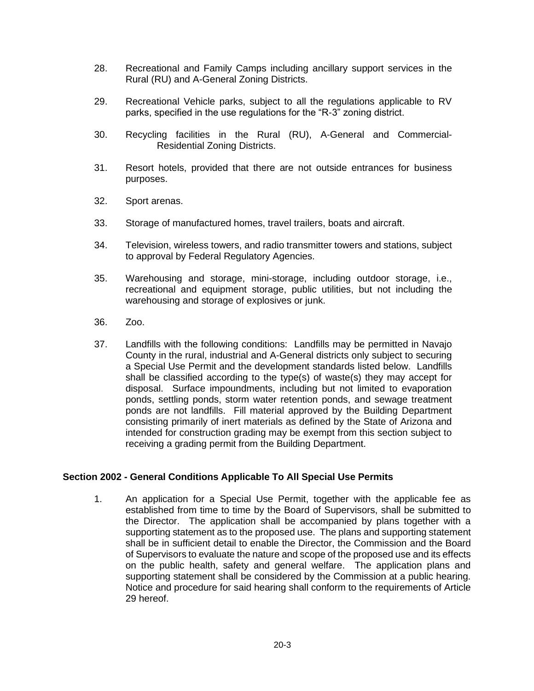- 28. Recreational and Family Camps including ancillary support services in the Rural (RU) and A-General Zoning Districts.
- 29. Recreational Vehicle parks, subject to all the regulations applicable to RV parks, specified in the use regulations for the "R-3" zoning district.
- 30. Recycling facilities in the Rural (RU), A-General and Commercial-Residential Zoning Districts.
- 31. Resort hotels, provided that there are not outside entrances for business purposes.
- 32. Sport arenas.
- 33. Storage of manufactured homes, travel trailers, boats and aircraft.
- 34. Television, wireless towers, and radio transmitter towers and stations, subject to approval by Federal Regulatory Agencies.
- 35. Warehousing and storage, mini-storage, including outdoor storage, i.e., recreational and equipment storage, public utilities, but not including the warehousing and storage of explosives or junk.
- 36. Zoo.
- 37. Landfills with the following conditions: Landfills may be permitted in Navajo County in the rural, industrial and A-General districts only subject to securing a Special Use Permit and the development standards listed below. Landfills shall be classified according to the type(s) of waste(s) they may accept for disposal. Surface impoundments, including but not limited to evaporation ponds, settling ponds, storm water retention ponds, and sewage treatment ponds are not landfills. Fill material approved by the Building Department consisting primarily of inert materials as defined by the State of Arizona and intended for construction grading may be exempt from this section subject to receiving a grading permit from the Building Department.

# **Section 2002 - General Conditions Applicable To All Special Use Permits**

1. An application for a Special Use Permit, together with the applicable fee as established from time to time by the Board of Supervisors, shall be submitted to the Director. The application shall be accompanied by plans together with a supporting statement as to the proposed use. The plans and supporting statement shall be in sufficient detail to enable the Director, the Commission and the Board of Supervisors to evaluate the nature and scope of the proposed use and its effects on the public health, safety and general welfare. The application plans and supporting statement shall be considered by the Commission at a public hearing. Notice and procedure for said hearing shall conform to the requirements of Article 29 hereof.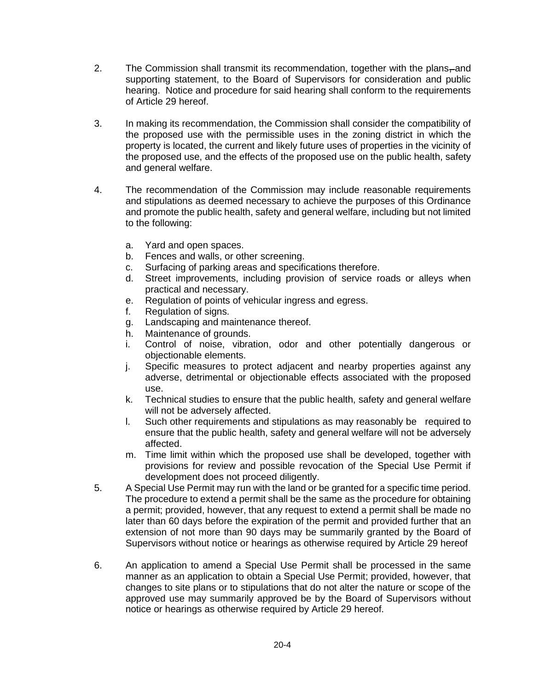- 2. The Commission shall transmit its recommendation, together with the plans–and supporting statement, to the Board of Supervisors for consideration and public hearing. Notice and procedure for said hearing shall conform to the requirements of Article 29 hereof.
- 3. In making its recommendation, the Commission shall consider the compatibility of the proposed use with the permissible uses in the zoning district in which the property is located, the current and likely future uses of properties in the vicinity of the proposed use, and the effects of the proposed use on the public health, safety and general welfare.
- 4. The recommendation of the Commission may include reasonable requirements and stipulations as deemed necessary to achieve the purposes of this Ordinance and promote the public health, safety and general welfare, including but not limited to the following:
	- a. Yard and open spaces.
	- b. Fences and walls, or other screening.
	- c. Surfacing of parking areas and specifications therefore.
	- d. Street improvements, including provision of service roads or alleys when practical and necessary.
	- e. Regulation of points of vehicular ingress and egress.
	- f. Regulation of signs.
	- g. Landscaping and maintenance thereof.
	- h. Maintenance of grounds.
	- i. Control of noise, vibration, odor and other potentially dangerous or objectionable elements.
	- j. Specific measures to protect adjacent and nearby properties against any adverse, detrimental or objectionable effects associated with the proposed use.
	- k. Technical studies to ensure that the public health, safety and general welfare will not be adversely affected.
	- l. Such other requirements and stipulations as may reasonably be required to ensure that the public health, safety and general welfare will not be adversely affected.
	- m. Time limit within which the proposed use shall be developed, together with provisions for review and possible revocation of the Special Use Permit if development does not proceed diligently.
- 5. A Special Use Permit may run with the land or be granted for a specific time period. The procedure to extend a permit shall be the same as the procedure for obtaining a permit; provided, however, that any request to extend a permit shall be made no later than 60 days before the expiration of the permit and provided further that an extension of not more than 90 days may be summarily granted by the Board of Supervisors without notice or hearings as otherwise required by Article 29 hereof
- 6. An application to amend a Special Use Permit shall be processed in the same manner as an application to obtain a Special Use Permit; provided, however, that changes to site plans or to stipulations that do not alter the nature or scope of the approved use may summarily approved be by the Board of Supervisors without notice or hearings as otherwise required by Article 29 hereof.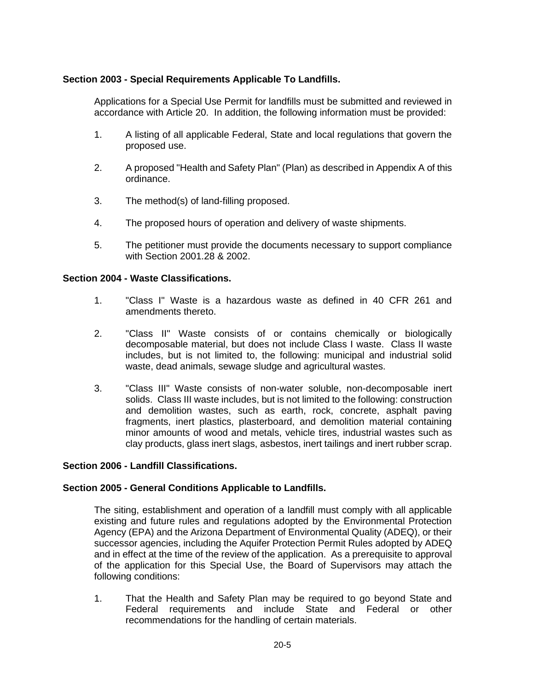# **Section 2003 - Special Requirements Applicable To Landfills.**

Applications for a Special Use Permit for landfills must be submitted and reviewed in accordance with Article 20. In addition, the following information must be provided:

- 1. A listing of all applicable Federal, State and local regulations that govern the proposed use.
- 2. A proposed "Health and Safety Plan" (Plan) as described in Appendix A of this ordinance.
- 3. The method(s) of land-filling proposed.
- 4. The proposed hours of operation and delivery of waste shipments.
- 5. The petitioner must provide the documents necessary to support compliance with Section 2001.28 & 2002.

#### **Section 2004 - Waste Classifications.**

- 1. "Class I" Waste is a hazardous waste as defined in 40 CFR 261 and amendments thereto.
- 2. "Class II" Waste consists of or contains chemically or biologically decomposable material, but does not include Class I waste. Class II waste includes, but is not limited to, the following: municipal and industrial solid waste, dead animals, sewage sludge and agricultural wastes.
- 3. "Class III" Waste consists of non-water soluble, non-decomposable inert solids. Class III waste includes, but is not limited to the following: construction and demolition wastes, such as earth, rock, concrete, asphalt paving fragments, inert plastics, plasterboard, and demolition material containing minor amounts of wood and metals, vehicle tires, industrial wastes such as clay products, glass inert slags, asbestos, inert tailings and inert rubber scrap.

### **Section 2006 - Landfill Classifications.**

#### **Section 2005 - General Conditions Applicable to Landfills.**

The siting, establishment and operation of a landfill must comply with all applicable existing and future rules and regulations adopted by the Environmental Protection Agency (EPA) and the Arizona Department of Environmental Quality (ADEQ), or their successor agencies, including the Aquifer Protection Permit Rules adopted by ADEQ and in effect at the time of the review of the application. As a prerequisite to approval of the application for this Special Use, the Board of Supervisors may attach the following conditions:

1. That the Health and Safety Plan may be required to go beyond State and Federal requirements and include State and Federal or other recommendations for the handling of certain materials.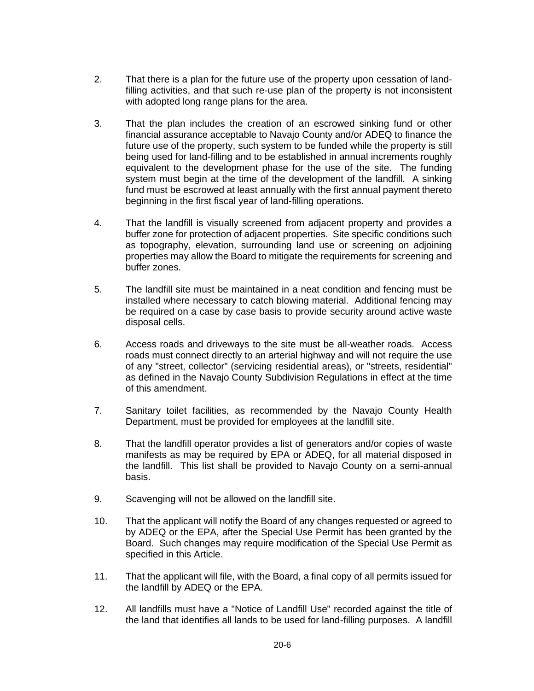- 2. That there is a plan for the future use of the property upon cessation of landfilling activities, and that such re-use plan of the property is not inconsistent with adopted long range plans for the area.
- 3. That the plan includes the creation of an escrowed sinking fund or other financial assurance acceptable to Navajo County and/or ADEQ to finance the future use of the property, such system to be funded while the property is still being used for land-filling and to be established in annual increments roughly equivalent to the development phase for the use of the site. The funding system must begin at the time of the development of the landfill. A sinking fund must be escrowed at least annually with the first annual payment thereto beginning in the first fiscal year of land-filling operations.
- 4. That the landfill is visually screened from adjacent property and provides a buffer zone for protection of adjacent properties. Site specific conditions such as topography, elevation, surrounding land use or screening on adjoining properties may allow the Board to mitigate the requirements for screening and buffer zones.
- 5. The landfill site must be maintained in a neat condition and fencing must be installed where necessary to catch blowing material. Additional fencing may be required on a case by case basis to provide security around active waste disposal cells.
- 6. Access roads and driveways to the site must be all-weather roads. Access roads must connect directly to an arterial highway and will not require the use of any "street, collector" (servicing residential areas), or "streets, residential" as defined in the Navajo County Subdivision Regulations in effect at the time of this amendment.
- 7. Sanitary toilet facilities, as recommended by the Navajo County Health Department, must be provided for employees at the landfill site.
- 8. That the landfill operator provides a list of generators and/or copies of waste manifests as may be required by EPA or ADEQ, for all material disposed in the landfill. This list shall be provided to Navajo County on a semi-annual basis.
- 9. Scavenging will not be allowed on the landfill site.
- 10. That the applicant will notify the Board of any changes requested or agreed to by ADEQ or the EPA, after the Special Use Permit has been granted by the Board. Such changes may require modification of the Special Use Permit as specified in this Article.
- 11. That the applicant will file, with the Board, a final copy of all permits issued for the landfill by ADEQ or the EPA.
- 12. All landfills must have a "Notice of Landfill Use" recorded against the title of the land that identifies all lands to be used for land-filling purposes. A landfill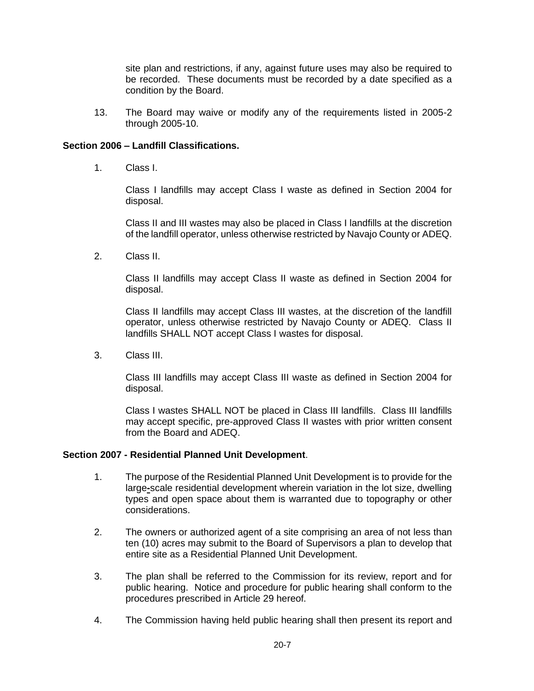site plan and restrictions, if any, against future uses may also be required to be recorded. These documents must be recorded by a date specified as a condition by the Board.

13. The Board may waive or modify any of the requirements listed in 2005-2 through 2005-10.

# **Section 2006 – Landfill Classifications.**

1. Class I.

Class I landfills may accept Class I waste as defined in Section 2004 for disposal.

Class II and III wastes may also be placed in Class I landfills at the discretion of the landfill operator, unless otherwise restricted by Navajo County or ADEQ.

2. Class II.

Class II landfills may accept Class II waste as defined in Section 2004 for disposal.

Class II landfills may accept Class III wastes, at the discretion of the landfill operator, unless otherwise restricted by Navajo County or ADEQ. Class II landfills SHALL NOT accept Class I wastes for disposal.

3. Class III.

Class III landfills may accept Class III waste as defined in Section 2004 for disposal.

Class I wastes SHALL NOT be placed in Class III landfills. Class III landfills may accept specific, pre-approved Class II wastes with prior written consent from the Board and ADEQ.

# **Section 2007 - Residential Planned Unit Development**.

- 1. The purpose of the Residential Planned Unit Development is to provide for the large**-**scale residential development wherein variation in the lot size, dwelling types and open space about them is warranted due to topography or other considerations.
- 2. The owners or authorized agent of a site comprising an area of not less than ten (10) acres may submit to the Board of Supervisors a plan to develop that entire site as a Residential Planned Unit Development.
- 3. The plan shall be referred to the Commission for its review, report and for public hearing. Notice and procedure for public hearing shall conform to the procedures prescribed in Article 29 hereof.
- 4. The Commission having held public hearing shall then present its report and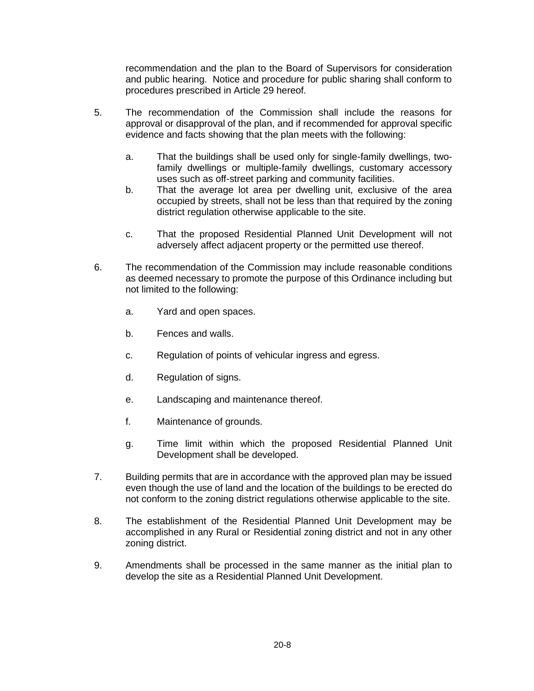recommendation and the plan to the Board of Supervisors for consideration and public hearing. Notice and procedure for public sharing shall conform to procedures prescribed in Article 29 hereof.

- 5. The recommendation of the Commission shall include the reasons for approval or disapproval of the plan, and if recommended for approval specific evidence and facts showing that the plan meets with the following:
	- a. That the buildings shall be used only for single-family dwellings, twofamily dwellings or multiple-family dwellings, customary accessory uses such as off-street parking and community facilities.
	- b. That the average lot area per dwelling unit, exclusive of the area occupied by streets, shall not be less than that required by the zoning district regulation otherwise applicable to the site.
	- c. That the proposed Residential Planned Unit Development will not adversely affect adjacent property or the permitted use thereof.
- 6. The recommendation of the Commission may include reasonable conditions as deemed necessary to promote the purpose of this Ordinance including but not limited to the following:
	- a. Yard and open spaces.
	- b. Fences and walls.
	- c. Regulation of points of vehicular ingress and egress.
	- d. Regulation of signs.
	- e. Landscaping and maintenance thereof.
	- f. Maintenance of grounds.
	- g. Time limit within which the proposed Residential Planned Unit Development shall be developed.
- 7. Building permits that are in accordance with the approved plan may be issued even though the use of land and the location of the buildings to be erected do not conform to the zoning district regulations otherwise applicable to the site.
- 8. The establishment of the Residential Planned Unit Development may be accomplished in any Rural or Residential zoning district and not in any other zoning district.
- 9. Amendments shall be processed in the same manner as the initial plan to develop the site as a Residential Planned Unit Development.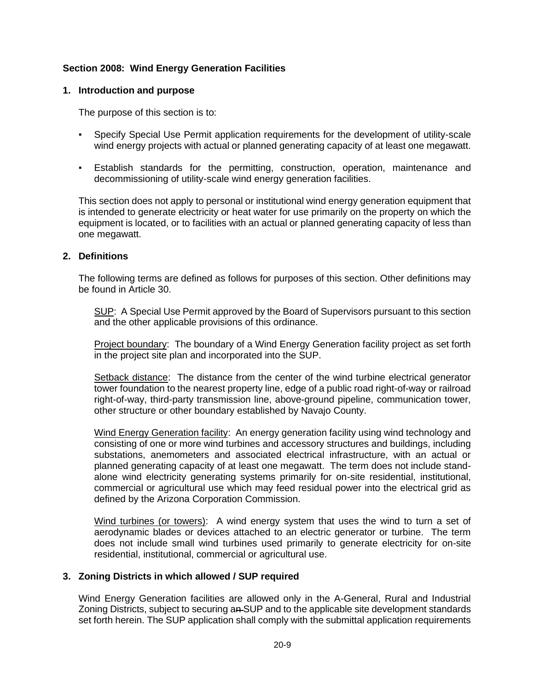# **Section 2008: Wind Energy Generation Facilities**

### **1. Introduction and purpose**

The purpose of this section is to:

- Specify Special Use Permit application requirements for the development of utility-scale wind energy projects with actual or planned generating capacity of at least one megawatt.
- Establish standards for the permitting, construction, operation, maintenance and decommissioning of utility-scale wind energy generation facilities.

This section does not apply to personal or institutional wind energy generation equipment that is intended to generate electricity or heat water for use primarily on the property on which the equipment is located, or to facilities with an actual or planned generating capacity of less than one megawatt.

# **2. Definitions**

The following terms are defined as follows for purposes of this section. Other definitions may be found in Article 30.

SUP: A Special Use Permit approved by the Board of Supervisors pursuant to this section and the other applicable provisions of this ordinance.

Project boundary: The boundary of a Wind Energy Generation facility project as set forth in the project site plan and incorporated into the SUP.

Setback distance: The distance from the center of the wind turbine electrical generator tower foundation to the nearest property line, edge of a public road right-of-way or railroad right-of-way, third-party transmission line, above-ground pipeline, communication tower, other structure or other boundary established by Navajo County.

Wind Energy Generation facility: An energy generation facility using wind technology and consisting of one or more wind turbines and accessory structures and buildings, including substations, anemometers and associated electrical infrastructure, with an actual or planned generating capacity of at least one megawatt. The term does not include standalone wind electricity generating systems primarily for on-site residential, institutional, commercial or agricultural use which may feed residual power into the electrical grid as defined by the Arizona Corporation Commission.

Wind turbines (or towers): A wind energy system that uses the wind to turn a set of aerodynamic blades or devices attached to an electric generator or turbine. The term does not include small wind turbines used primarily to generate electricity for on-site residential, institutional, commercial or agricultural use.

#### **3. Zoning Districts in which allowed / SUP required**

Wind Energy Generation facilities are allowed only in the A-General, Rural and Industrial Zoning Districts, subject to securing an-SUP and to the applicable site development standards set forth herein. The SUP application shall comply with the submittal application requirements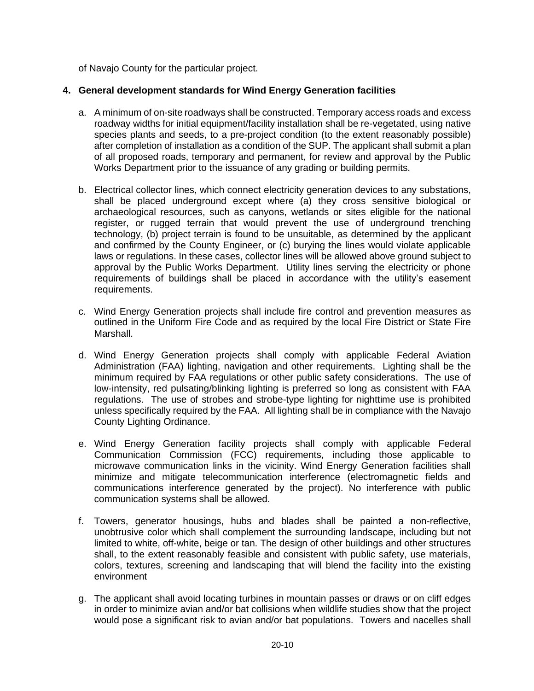of Navajo County for the particular project.

# **4. General development standards for Wind Energy Generation facilities**

- a. A minimum of on-site roadways shall be constructed. Temporary access roads and excess roadway widths for initial equipment/facility installation shall be re-vegetated, using native species plants and seeds, to a pre-project condition (to the extent reasonably possible) after completion of installation as a condition of the SUP. The applicant shall submit a plan of all proposed roads, temporary and permanent, for review and approval by the Public Works Department prior to the issuance of any grading or building permits.
- b. Electrical collector lines, which connect electricity generation devices to any substations, shall be placed underground except where (a) they cross sensitive biological or archaeological resources, such as canyons, wetlands or sites eligible for the national register, or rugged terrain that would prevent the use of underground trenching technology, (b) project terrain is found to be unsuitable, as determined by the applicant and confirmed by the County Engineer, or (c) burying the lines would violate applicable laws or regulations. In these cases, collector lines will be allowed above ground subject to approval by the Public Works Department. Utility lines serving the electricity or phone requirements of buildings shall be placed in accordance with the utility's easement requirements.
- c. Wind Energy Generation projects shall include fire control and prevention measures as outlined in the Uniform Fire Code and as required by the local Fire District or State Fire Marshall.
- d. Wind Energy Generation projects shall comply with applicable Federal Aviation Administration (FAA) lighting, navigation and other requirements. Lighting shall be the minimum required by FAA regulations or other public safety considerations. The use of low-intensity, red pulsating/blinking lighting is preferred so long as consistent with FAA regulations. The use of strobes and strobe-type lighting for nighttime use is prohibited unless specifically required by the FAA. All lighting shall be in compliance with the Navajo County Lighting Ordinance.
- e. Wind Energy Generation facility projects shall comply with applicable Federal Communication Commission (FCC) requirements, including those applicable to microwave communication links in the vicinity. Wind Energy Generation facilities shall minimize and mitigate telecommunication interference (electromagnetic fields and communications interference generated by the project). No interference with public communication systems shall be allowed.
- f. Towers, generator housings, hubs and blades shall be painted a non-reflective, unobtrusive color which shall complement the surrounding landscape, including but not limited to white, off-white, beige or tan. The design of other buildings and other structures shall, to the extent reasonably feasible and consistent with public safety, use materials, colors, textures, screening and landscaping that will blend the facility into the existing environment
- g. The applicant shall avoid locating turbines in mountain passes or draws or on cliff edges in order to minimize avian and/or bat collisions when wildlife studies show that the project would pose a significant risk to avian and/or bat populations. Towers and nacelles shall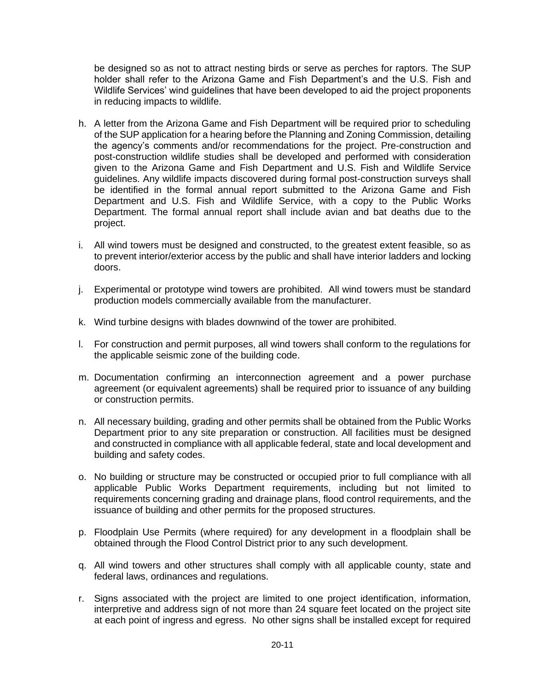be designed so as not to attract nesting birds or serve as perches for raptors. The SUP holder shall refer to the Arizona Game and Fish Department's and the U.S. Fish and Wildlife Services' wind guidelines that have been developed to aid the project proponents in reducing impacts to wildlife.

- h. A letter from the Arizona Game and Fish Department will be required prior to scheduling of the SUP application for a hearing before the Planning and Zoning Commission, detailing the agency's comments and/or recommendations for the project. Pre-construction and post-construction wildlife studies shall be developed and performed with consideration given to the Arizona Game and Fish Department and U.S. Fish and Wildlife Service guidelines. Any wildlife impacts discovered during formal post-construction surveys shall be identified in the formal annual report submitted to the Arizona Game and Fish Department and U.S. Fish and Wildlife Service, with a copy to the Public Works Department. The formal annual report shall include avian and bat deaths due to the project.
- i. All wind towers must be designed and constructed, to the greatest extent feasible, so as to prevent interior/exterior access by the public and shall have interior ladders and locking doors.
- j. Experimental or prototype wind towers are prohibited. All wind towers must be standard production models commercially available from the manufacturer.
- k. Wind turbine designs with blades downwind of the tower are prohibited.
- l. For construction and permit purposes, all wind towers shall conform to the regulations for the applicable seismic zone of the building code.
- m. Documentation confirming an interconnection agreement and a power purchase agreement (or equivalent agreements) shall be required prior to issuance of any building or construction permits.
- n. All necessary building, grading and other permits shall be obtained from the Public Works Department prior to any site preparation or construction. All facilities must be designed and constructed in compliance with all applicable federal, state and local development and building and safety codes.
- o. No building or structure may be constructed or occupied prior to full compliance with all applicable Public Works Department requirements, including but not limited to requirements concerning grading and drainage plans, flood control requirements, and the issuance of building and other permits for the proposed structures.
- p. Floodplain Use Permits (where required) for any development in a floodplain shall be obtained through the Flood Control District prior to any such development.
- q. All wind towers and other structures shall comply with all applicable county, state and federal laws, ordinances and regulations.
- r. Signs associated with the project are limited to one project identification, information, interpretive and address sign of not more than 24 square feet located on the project site at each point of ingress and egress. No other signs shall be installed except for required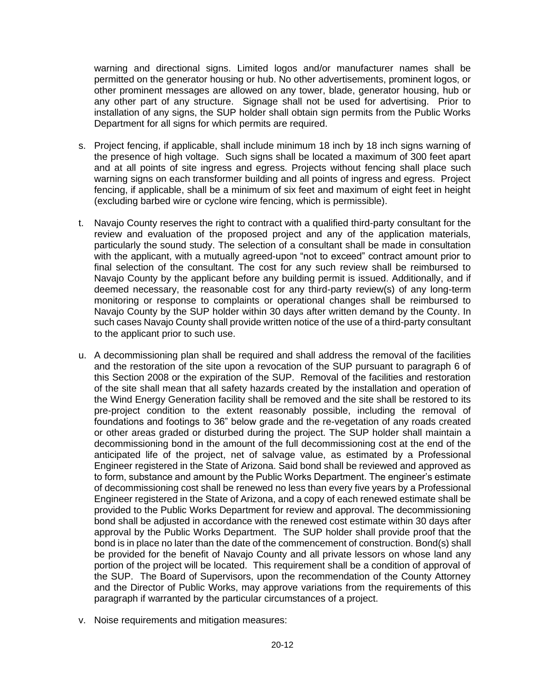warning and directional signs. Limited logos and/or manufacturer names shall be permitted on the generator housing or hub. No other advertisements, prominent logos, or other prominent messages are allowed on any tower, blade, generator housing, hub or any other part of any structure. Signage shall not be used for advertising. Prior to installation of any signs, the SUP holder shall obtain sign permits from the Public Works Department for all signs for which permits are required.

- s. Project fencing, if applicable, shall include minimum 18 inch by 18 inch signs warning of the presence of high voltage. Such signs shall be located a maximum of 300 feet apart and at all points of site ingress and egress. Projects without fencing shall place such warning signs on each transformer building and all points of ingress and egress. Project fencing, if applicable, shall be a minimum of six feet and maximum of eight feet in height (excluding barbed wire or cyclone wire fencing, which is permissible).
- t. Navajo County reserves the right to contract with a qualified third-party consultant for the review and evaluation of the proposed project and any of the application materials, particularly the sound study. The selection of a consultant shall be made in consultation with the applicant, with a mutually agreed-upon "not to exceed" contract amount prior to final selection of the consultant. The cost for any such review shall be reimbursed to Navajo County by the applicant before any building permit is issued. Additionally, and if deemed necessary, the reasonable cost for any third-party review(s) of any long-term monitoring or response to complaints or operational changes shall be reimbursed to Navajo County by the SUP holder within 30 days after written demand by the County. In such cases Navajo County shall provide written notice of the use of a third-party consultant to the applicant prior to such use.
- u. A decommissioning plan shall be required and shall address the removal of the facilities and the restoration of the site upon a revocation of the SUP pursuant to paragraph 6 of this Section 2008 or the expiration of the SUP. Removal of the facilities and restoration of the site shall mean that all safety hazards created by the installation and operation of the Wind Energy Generation facility shall be removed and the site shall be restored to its pre-project condition to the extent reasonably possible, including the removal of foundations and footings to 36" below grade and the re-vegetation of any roads created or other areas graded or disturbed during the project. The SUP holder shall maintain a decommissioning bond in the amount of the full decommissioning cost at the end of the anticipated life of the project, net of salvage value, as estimated by a Professional Engineer registered in the State of Arizona. Said bond shall be reviewed and approved as to form, substance and amount by the Public Works Department. The engineer's estimate of decommissioning cost shall be renewed no less than every five years by a Professional Engineer registered in the State of Arizona, and a copy of each renewed estimate shall be provided to the Public Works Department for review and approval. The decommissioning bond shall be adjusted in accordance with the renewed cost estimate within 30 days after approval by the Public Works Department. The SUP holder shall provide proof that the bond is in place no later than the date of the commencement of construction. Bond(s) shall be provided for the benefit of Navajo County and all private lessors on whose land any portion of the project will be located. This requirement shall be a condition of approval of the SUP. The Board of Supervisors, upon the recommendation of the County Attorney and the Director of Public Works, may approve variations from the requirements of this paragraph if warranted by the particular circumstances of a project.
- v. Noise requirements and mitigation measures: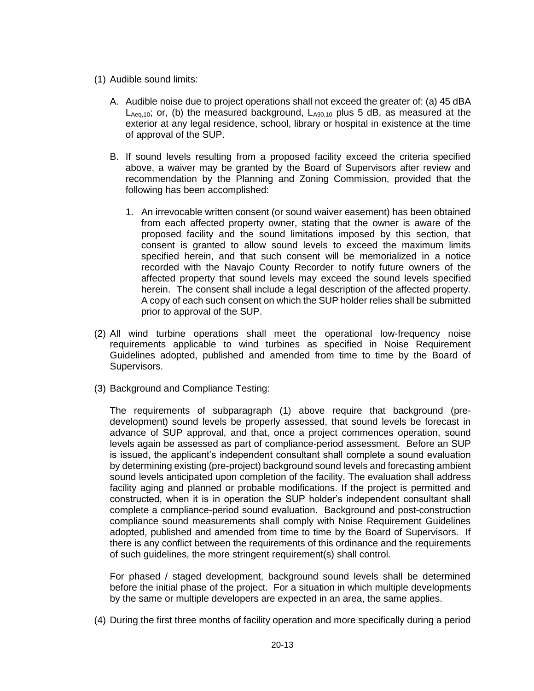- (1) Audible sound limits:
	- A. Audible noise due to project operations shall not exceed the greater of: (a) 45 dBA  $L_{Aeq,10}$ ; or, (b) the measured background,  $L_{A90,10}$  plus 5 dB, as measured at the exterior at any legal residence, school, library or hospital in existence at the time of approval of the SUP.
	- B. If sound levels resulting from a proposed facility exceed the criteria specified above, a waiver may be granted by the Board of Supervisors after review and recommendation by the Planning and Zoning Commission, provided that the following has been accomplished:
		- 1. An irrevocable written consent (or sound waiver easement) has been obtained from each affected property owner, stating that the owner is aware of the proposed facility and the sound limitations imposed by this section, that consent is granted to allow sound levels to exceed the maximum limits specified herein, and that such consent will be memorialized in a notice recorded with the Navajo County Recorder to notify future owners of the affected property that sound levels may exceed the sound levels specified herein. The consent shall include a legal description of the affected property. A copy of each such consent on which the SUP holder relies shall be submitted prior to approval of the SUP.
- (2) All wind turbine operations shall meet the operational low-frequency noise requirements applicable to wind turbines as specified in Noise Requirement Guidelines adopted, published and amended from time to time by the Board of Supervisors.
- (3) Background and Compliance Testing:

The requirements of subparagraph (1) above require that background (predevelopment) sound levels be properly assessed, that sound levels be forecast in advance of SUP approval, and that, once a project commences operation, sound levels again be assessed as part of compliance-period assessment. Before an SUP is issued, the applicant's independent consultant shall complete a sound evaluation by determining existing (pre-project) background sound levels and forecasting ambient sound levels anticipated upon completion of the facility. The evaluation shall address facility aging and planned or probable modifications. If the project is permitted and constructed, when it is in operation the SUP holder's independent consultant shall complete a compliance-period sound evaluation. Background and post-construction compliance sound measurements shall comply with Noise Requirement Guidelines adopted, published and amended from time to time by the Board of Supervisors. If there is any conflict between the requirements of this ordinance and the requirements of such guidelines, the more stringent requirement(s) shall control.

For phased / staged development, background sound levels shall be determined before the initial phase of the project. For a situation in which multiple developments by the same or multiple developers are expected in an area, the same applies.

(4) During the first three months of facility operation and more specifically during a period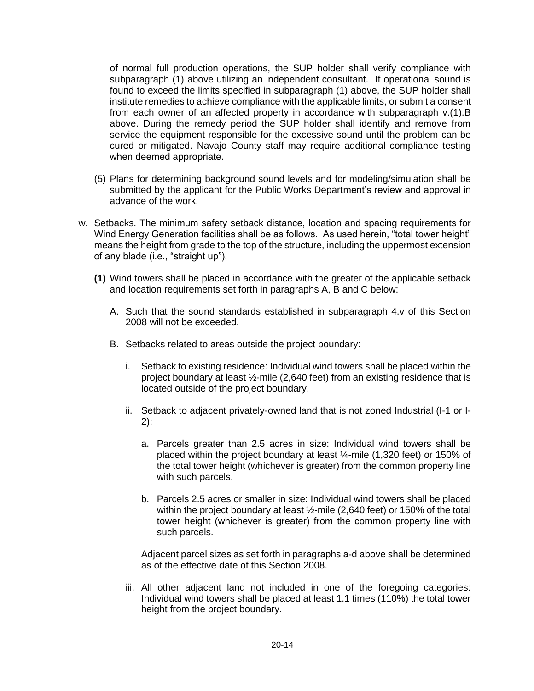of normal full production operations, the SUP holder shall verify compliance with subparagraph (1) above utilizing an independent consultant. If operational sound is found to exceed the limits specified in subparagraph (1) above, the SUP holder shall institute remedies to achieve compliance with the applicable limits, or submit a consent from each owner of an affected property in accordance with subparagraph v.(1).B above. During the remedy period the SUP holder shall identify and remove from service the equipment responsible for the excessive sound until the problem can be cured or mitigated. Navajo County staff may require additional compliance testing when deemed appropriate.

- (5) Plans for determining background sound levels and for modeling/simulation shall be submitted by the applicant for the Public Works Department's review and approval in advance of the work.
- w. Setbacks. The minimum safety setback distance, location and spacing requirements for Wind Energy Generation facilities shall be as follows. As used herein, "total tower height" means the height from grade to the top of the structure, including the uppermost extension of any blade (i.e., "straight up").
	- **(1)** Wind towers shall be placed in accordance with the greater of the applicable setback and location requirements set forth in paragraphs A, B and C below:
		- A. Such that the sound standards established in subparagraph 4.v of this Section 2008 will not be exceeded.
		- B. Setbacks related to areas outside the project boundary:
			- i. Setback to existing residence: Individual wind towers shall be placed within the project boundary at least ½-mile (2,640 feet) from an existing residence that is located outside of the project boundary.
			- ii. Setback to adjacent privately-owned land that is not zoned Industrial (I-1 or I-2):
				- a. Parcels greater than 2.5 acres in size: Individual wind towers shall be placed within the project boundary at least ¼-mile (1,320 feet) or 150% of the total tower height (whichever is greater) from the common property line with such parcels.
				- b. Parcels 2.5 acres or smaller in size: Individual wind towers shall be placed within the project boundary at least ½-mile (2,640 feet) or 150% of the total tower height (whichever is greater) from the common property line with such parcels.

Adjacent parcel sizes as set forth in paragraphs a-d above shall be determined as of the effective date of this Section 2008.

iii. All other adjacent land not included in one of the foregoing categories: Individual wind towers shall be placed at least 1.1 times (110%) the total tower height from the project boundary.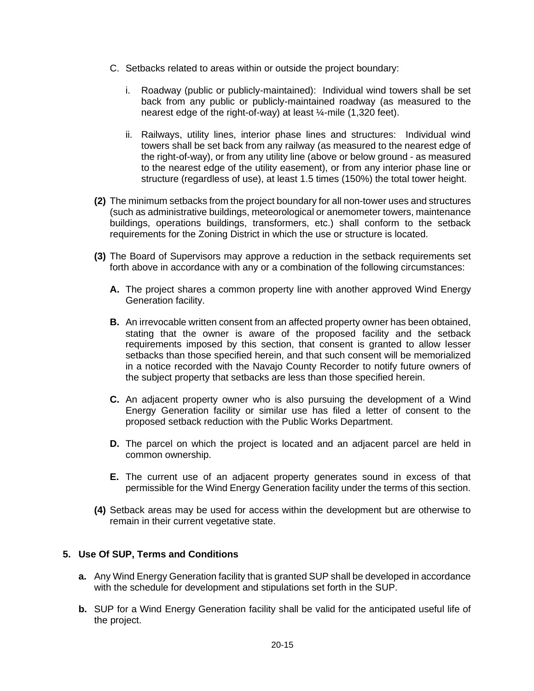- C. Setbacks related to areas within or outside the project boundary:
	- i. Roadway (public or publicly-maintained): Individual wind towers shall be set back from any public or publicly-maintained roadway (as measured to the nearest edge of the right-of-way) at least ¼-mile (1,320 feet).
	- ii. Railways, utility lines, interior phase lines and structures: Individual wind towers shall be set back from any railway (as measured to the nearest edge of the right-of-way), or from any utility line (above or below ground - as measured to the nearest edge of the utility easement), or from any interior phase line or structure (regardless of use), at least 1.5 times (150%) the total tower height.
- **(2)** The minimum setbacks from the project boundary for all non-tower uses and structures (such as administrative buildings, meteorological or anemometer towers, maintenance buildings, operations buildings, transformers, etc.) shall conform to the setback requirements for the Zoning District in which the use or structure is located.
- **(3)** The Board of Supervisors may approve a reduction in the setback requirements set forth above in accordance with any or a combination of the following circumstances:
	- **A.** The project shares a common property line with another approved Wind Energy Generation facility.
	- **B.** An irrevocable written consent from an affected property owner has been obtained, stating that the owner is aware of the proposed facility and the setback requirements imposed by this section, that consent is granted to allow lesser setbacks than those specified herein, and that such consent will be memorialized in a notice recorded with the Navajo County Recorder to notify future owners of the subject property that setbacks are less than those specified herein.
	- **C.** An adjacent property owner who is also pursuing the development of a Wind Energy Generation facility or similar use has filed a letter of consent to the proposed setback reduction with the Public Works Department.
	- **D.** The parcel on which the project is located and an adjacent parcel are held in common ownership.
	- **E.** The current use of an adjacent property generates sound in excess of that permissible for the Wind Energy Generation facility under the terms of this section.
- **(4)** Setback areas may be used for access within the development but are otherwise to remain in their current vegetative state.

# **5. Use Of SUP, Terms and Conditions**

- **a.** Any Wind Energy Generation facility that is granted SUP shall be developed in accordance with the schedule for development and stipulations set forth in the SUP.
- **b.** SUP for a Wind Energy Generation facility shall be valid for the anticipated useful life of the project.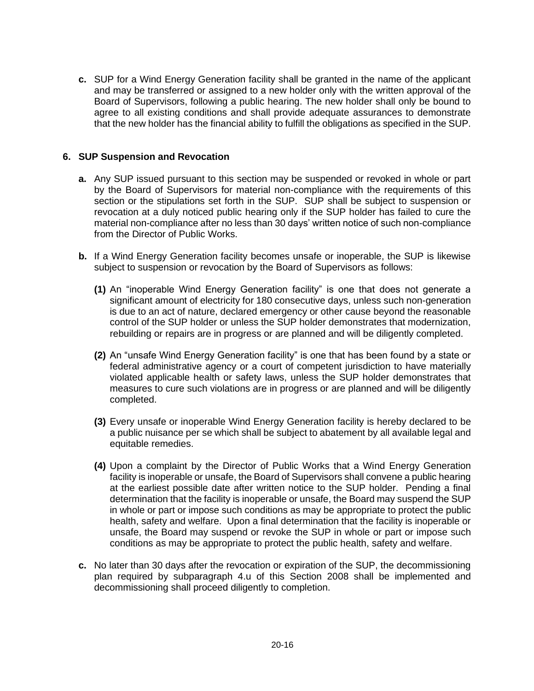**c.** SUP for a Wind Energy Generation facility shall be granted in the name of the applicant and may be transferred or assigned to a new holder only with the written approval of the Board of Supervisors, following a public hearing. The new holder shall only be bound to agree to all existing conditions and shall provide adequate assurances to demonstrate that the new holder has the financial ability to fulfill the obligations as specified in the SUP.

# **6. SUP Suspension and Revocation**

- **a.** Any SUP issued pursuant to this section may be suspended or revoked in whole or part by the Board of Supervisors for material non-compliance with the requirements of this section or the stipulations set forth in the SUP. SUP shall be subject to suspension or revocation at a duly noticed public hearing only if the SUP holder has failed to cure the material non-compliance after no less than 30 days' written notice of such non-compliance from the Director of Public Works.
- **b.** If a Wind Energy Generation facility becomes unsafe or inoperable, the SUP is likewise subject to suspension or revocation by the Board of Supervisors as follows:
	- **(1)** An "inoperable Wind Energy Generation facility" is one that does not generate a significant amount of electricity for 180 consecutive days, unless such non-generation is due to an act of nature, declared emergency or other cause beyond the reasonable control of the SUP holder or unless the SUP holder demonstrates that modernization, rebuilding or repairs are in progress or are planned and will be diligently completed.
	- **(2)** An "unsafe Wind Energy Generation facility" is one that has been found by a state or federal administrative agency or a court of competent jurisdiction to have materially violated applicable health or safety laws, unless the SUP holder demonstrates that measures to cure such violations are in progress or are planned and will be diligently completed.
	- **(3)** Every unsafe or inoperable Wind Energy Generation facility is hereby declared to be a public nuisance per se which shall be subject to abatement by all available legal and equitable remedies.
	- **(4)** Upon a complaint by the Director of Public Works that a Wind Energy Generation facility is inoperable or unsafe, the Board of Supervisors shall convene a public hearing at the earliest possible date after written notice to the SUP holder. Pending a final determination that the facility is inoperable or unsafe, the Board may suspend the SUP in whole or part or impose such conditions as may be appropriate to protect the public health, safety and welfare. Upon a final determination that the facility is inoperable or unsafe, the Board may suspend or revoke the SUP in whole or part or impose such conditions as may be appropriate to protect the public health, safety and welfare.
- **c.** No later than 30 days after the revocation or expiration of the SUP, the decommissioning plan required by subparagraph 4.u of this Section 2008 shall be implemented and decommissioning shall proceed diligently to completion.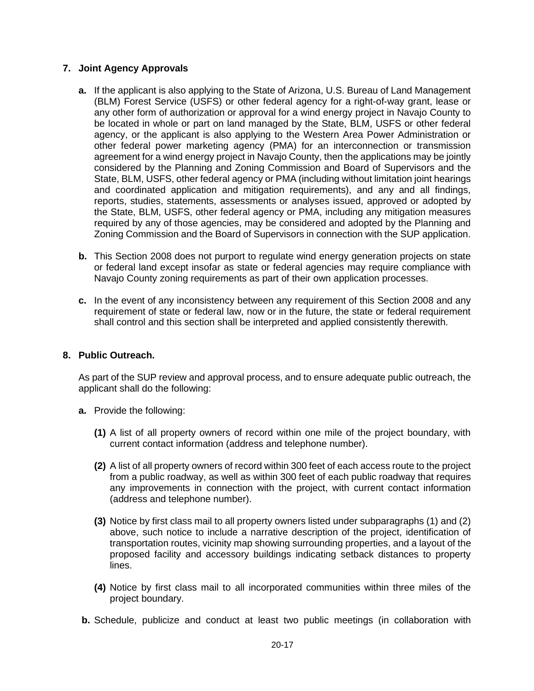### **7. Joint Agency Approvals**

- **a.** If the applicant is also applying to the State of Arizona, U.S. Bureau of Land Management (BLM) Forest Service (USFS) or other federal agency for a right-of-way grant, lease or any other form of authorization or approval for a wind energy project in Navajo County to be located in whole or part on land managed by the State, BLM, USFS or other federal agency, or the applicant is also applying to the Western Area Power Administration or other federal power marketing agency (PMA) for an interconnection or transmission agreement for a wind energy project in Navajo County, then the applications may be jointly considered by the Planning and Zoning Commission and Board of Supervisors and the State, BLM, USFS, other federal agency or PMA (including without limitation joint hearings and coordinated application and mitigation requirements), and any and all findings, reports, studies, statements, assessments or analyses issued, approved or adopted by the State, BLM, USFS, other federal agency or PMA, including any mitigation measures required by any of those agencies, may be considered and adopted by the Planning and Zoning Commission and the Board of Supervisors in connection with the SUP application.
- **b.** This Section 2008 does not purport to regulate wind energy generation projects on state or federal land except insofar as state or federal agencies may require compliance with Navajo County zoning requirements as part of their own application processes.
- **c.** In the event of any inconsistency between any requirement of this Section 2008 and any requirement of state or federal law, now or in the future, the state or federal requirement shall control and this section shall be interpreted and applied consistently therewith.

# **8. Public Outreach.**

As part of the SUP review and approval process, and to ensure adequate public outreach, the applicant shall do the following:

- **a.** Provide the following:
	- **(1)** A list of all property owners of record within one mile of the project boundary, with current contact information (address and telephone number).
	- **(2)** A list of all property owners of record within 300 feet of each access route to the project from a public roadway, as well as within 300 feet of each public roadway that requires any improvements in connection with the project, with current contact information (address and telephone number).
	- **(3)** Notice by first class mail to all property owners listed under subparagraphs (1) and (2) above, such notice to include a narrative description of the project, identification of transportation routes, vicinity map showing surrounding properties, and a layout of the proposed facility and accessory buildings indicating setback distances to property lines.
	- **(4)** Notice by first class mail to all incorporated communities within three miles of the project boundary.
- **b.** Schedule, publicize and conduct at least two public meetings (in collaboration with